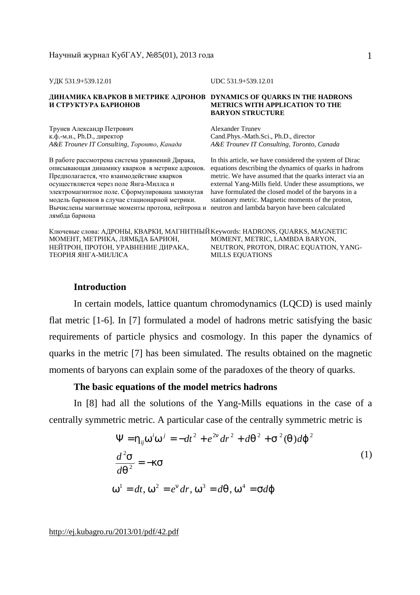УДК 531.9+539.12.01 UDC 531.9+539.12.01

# **И СТРУКТУРА БАРИОНОВ**

Трунев Александр Петрович к.ф.-м.н., Ph.D., директор *A&E Trounev IT Consulting, Торонто, Канада A&E Trounev IT Consulting, Toronto, Canada* 

В работе рассмотрена система уравнений Дирака, описывающая динамику кварков в метрике адронов. Предполагается, что взаимодействие кварков осуществляется через поле Янга-Миллса и электромагнитное поле. Сформулирована замкнутая модель барионов в случае стационарной метрики. Вычислены магнитные моменты протона, нейтрона и neutron and lambda baryon have been calculated лямбда бариона

#### **ДИНАМИКА КВАРКОВ В МЕТРИКЕ АДРОНОВ DYNAMICS OF QUARKS IN THE HADRONS METRICS WITH APPLICATION TO THE BARYON STRUCTURE**

Alexander Trunev Cand.Phys.-Math.Sci., Ph.D., director

In this article, we have considered the system of Dirac equations describing the dynamics of quarks in hadrons metric. We have assumed that the quarks interact via an external Yang-Mills field. Under these assumptions, we have formulated the closed model of the baryons in a stationary metric. Magnetic moments of the proton,

Ключевые слова: АДРОНЫ, КВАРКИ, МАГНИТНЫЙ Keywords: HADRONS, QUARKS, MAGNETIC МОМЕНТ, МЕТРИКА, ЛЯМБДА БАРИОН, НЕЙТРОН, ПРОТОН, УРАВНЕНИЕ ДИРАКА, ТЕОРИЯ ЯНГА-МИЛЛСА MOMENT, METRIC, LAMBDA BARYON, NEUTRON, PROTON, DIRAC EQUATION, YANG-MILLS EQUATIONS

### **Introduction**

In certain models, lattice quantum chromodynamics (LQCD) is used mainly flat metric [1-6]. In [7] formulated a model of hadrons metric satisfying the basic requirements of particle physics and cosmology. In this paper the dynamics of quarks in the metric [7] has been simulated. The results obtained on the magnetic moments of baryons can explain some of the paradoxes of the theory of quarks.

#### **The basic equations of the model metrics hadrons**

In [8] had all the solutions of the Yang-Mills equations in the case of a centrally symmetric metric. A particular case of the centrally symmetric metric is

$$
\Psi = h_{ij} w^i w^j = -dt^2 + e^{2n} dr^2 + dq^2 + s^2 (q) dj^2
$$
  

$$
\frac{d^2 s}{dq^2} = -k s
$$
  

$$
w^1 = dt, w^2 = e^n dr, w^3 = dq, w^4 = sdj
$$
 (1)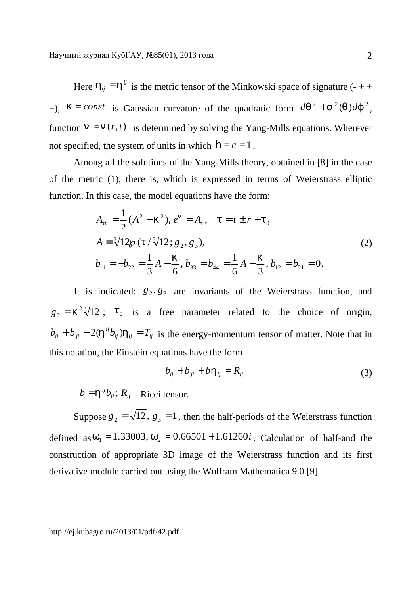Here  $h_{ij} = h^{ij}$  is the metric tensor of the Minkowski space of signature (- + +  $+$ ),  $k = const$  is Gaussian curvature of the quadratic form  $dq^2 + s^2(q)dj^2$ , function  $n = n(r, t)$  is determined by solving the Yang-Mills equations. Wherever not specified, the system of units in which  $\mathbf{h} = c = 1$ .

Among all the solutions of the Yang-Mills theory, obtained in [8] in the case of the metric (1), there is, which is expressed in terms of Weierstrass elliptic function. In this case, the model equations have the form:

$$
A_{tt} = \frac{1}{2} (A^2 - k^2), e^{it} = A_t, \quad t = t \pm r + t_0
$$
  
\n
$$
A = \sqrt[3]{12} \wp(t / \sqrt[3]{12}; g_2, g_3),
$$
  
\n
$$
b_{11} = -b_{22} = \frac{1}{3} A - \frac{k}{6}, b_{33} = b_{44} = \frac{1}{6} A - \frac{k}{3}, b_{12} = b_{21} = 0.
$$
\n(2)

It is indicated:  $g_2, g_3$  are invariants of the Weierstrass function, and  $g_2 = k^2 \sqrt[3]{12}$ ;  $t_0$  is a free parameter related to the choice of origin,  $b_{ij} + b_{ji} - 2(h^{ij}b_{ij})h_{ij} = T_{ij}$  is the energy-momentum tensor of matter. Note that in this notation, the Einstein equations have the form

$$
b_{ij} + b_{ji} + b h_{ij} = R_{ij} \tag{3}
$$

 $b = h^{ij}b_{ij}$ ;  $R_{ij}$  - Ricci tensor.

Suppose  $g_2 = \sqrt[3]{12}$ ,  $g_3 = 1$ , then the half-periods of the Weierstrass function defined as  $W_1 = 1.33003$ ,  $W_2 = 0.66501 + 1.61260i$ . Calculation of half-and the construction of appropriate 3D image of the Weierstrass function and its first derivative module carried out using the Wolfram Mathematica 9.0 [9].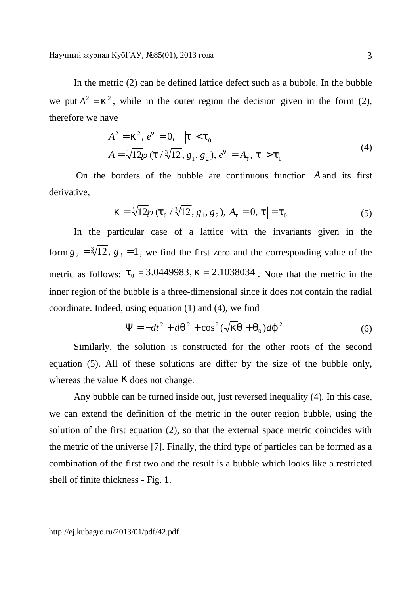Научный журнал КубГАУ, №85(01), 2013 года

In the metric (2) can be defined lattice defect such as a bubble. In the bubble we put  $A^2 = k^2$ , while in the outer region the decision given in the form (2), therefore we have

$$
A^{2} = k^{2}, e^{n} = 0, \quad |t| < t_{0}
$$
  

$$
A = \sqrt[3]{12} \wp(t / \sqrt[3]{12}, g_{1}, g_{2}), e^{n} = A_{t}, |t| > t_{0}
$$
 (4)

On the borders of the bubble are continuous function *A* and its first derivative,

$$
k = \sqrt[3]{12}\wp(t_0 / \sqrt[3]{12}, g_1, g_2), A_t = 0, |t| = t_0
$$
\n(5)

In the particular case of a lattice with the invariants given in the form  $g_2 = \sqrt[3]{12}$ ,  $g_3 = 1$ , we find the first zero and the corresponding value of the metric as follows:  $t_0 = 3.0449983$ ,  $k = 2.1038034$ . Note that the metric in the inner region of the bubble is a three-dimensional since it does not contain the radial coordinate. Indeed, using equation (1) and (4), we find

$$
\Psi = -dt^2 + dq^2 + \cos^2(\sqrt{kq} + q_0)dj^2 \tag{6}
$$

Similarly, the solution is constructed for the other roots of the second equation (5). All of these solutions are differ by the size of the bubble only, whereas the value *k* does not change.

Any bubble can be turned inside out, just reversed inequality (4). In this case, we can extend the definition of the metric in the outer region bubble, using the solution of the first equation (2), so that the external space metric coincides with the metric of the universe [7]. Finally, the third type of particles can be formed as a combination of the first two and the result is a bubble which looks like a restricted shell of finite thickness - Fig. 1.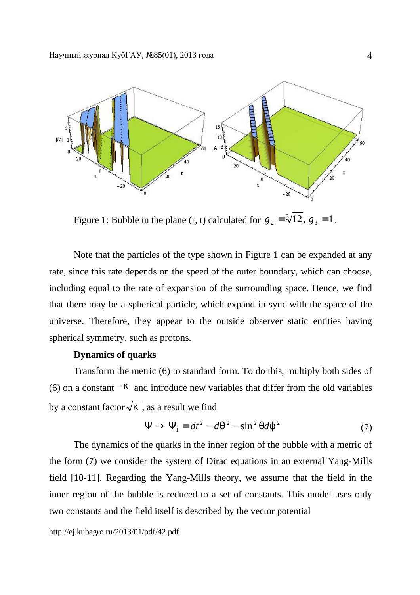

Figure 1: Bubble in the plane (r, t) calculated for  $g_2 = \sqrt[3]{12}$ ,  $g_3 = 1$ .

Note that the particles of the type shown in Figure 1 can be expanded at any rate, since this rate depends on the speed of the outer boundary, which can choose, including equal to the rate of expansion of the surrounding space. Hence, we find that there may be a spherical particle, which expand in sync with the space of the universe. Therefore, they appear to the outside observer static entities having spherical symmetry, such as protons.

# **Dynamics of quarks**

Transform the metric (6) to standard form. To do this, multiply both sides of (6) on a constant  $-k$  and introduce new variables that differ from the old variables by a constant factor  $\sqrt{k}$ , as a result we find

$$
\Psi \to \Psi_1 = dt^2 - dq^2 - \sin^2 q d\dot{J}^2 \tag{7}
$$

The dynamics of the quarks in the inner region of the bubble with a metric of the form (7) we consider the system of Dirac equations in an external Yang-Mills field [10-11]. Regarding the Yang-Mills theory, we assume that the field in the inner region of the bubble is reduced to a set of constants. This model uses only two constants and the field itself is described by the vector potential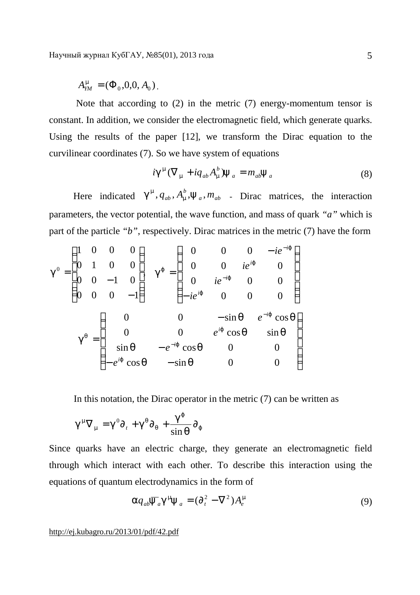$A_{YM}^m = (\Phi_0, 0, 0, A_0)$ .

Note that according to (2) in the metric (7) energy-momentum tensor is constant. In addition, we consider the electromagnetic field, which generate quarks. Using the results of the paper [12], we transform the Dirac equation to the curvilinear coordinates (7). So we have system of equations

$$
ig^{\mathbf{m}}(\nabla_{\mathbf{m}} + iq_{ab}A_{\mathbf{m}}^{b})\mathbf{y}_{a} = m_{ab}\mathbf{y}_{a}
$$
\n(8)

Here indicated  $g^m$ ,  $q_{ab}$ ,  $A_m^b$ ,  $y_a$ ,  $m_{ab}$  - Dirac matrices, the interaction parameters, the vector potential, the wave function, and mass of quark *"a"* which is part of the particle *"b"*, respectively. Dirac matrices in the metric (7) have the form

$$
g^{0} = \begin{pmatrix} 1 & 0 & 0 & 0 \\ 0 & 1 & 0 & 0 \\ 0 & 0 & -1 & 0 \\ 0 & 0 & 0 & -1 \end{pmatrix} \quad g^{j} = \begin{pmatrix} 0 & 0 & 0 & -ie^{-ij} \\ 0 & 0 & ie^{ij} & 0 \\ 0 & ie^{-ij} & 0 & 0 \\ -ie^{ij} & 0 & 0 & 0 \end{pmatrix}
$$

$$
g^{q} = \begin{pmatrix} 0 & 0 & -\sin q & e^{-ij} \cos q \\ 0 & 0 & -\sin q & e^{-ij} \cos q \\ \sin q & -e^{-ij} \cos q & 0 & 0 \\ -e^{ij} \cos q & -\sin q & 0 & 0 \end{pmatrix}
$$

In this notation, the Dirac operator in the metric (7) can be written as

$$
g^{m}\nabla_{m} = g^{0}\partial_{t} + g^{q}\partial_{q} + \frac{g^{j}}{\sin q}\partial_{j}
$$

Since quarks have an electric charge, they generate an electromagnetic field through which interact with each other. To describe this interaction using the equations of quantum electrodynamics in the form of

$$
a q_{ab} \overline{y}_a g^m y_a = (\partial_t^2 - \nabla^2) A_e^m
$$
 (9)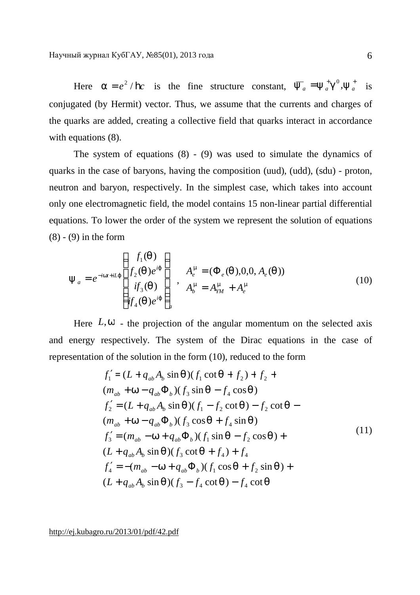Here  $a = e^2 / h c$  is the fine structure constant,  $\overline{y}_a = y_a^+ g^0, y_a^+$  is conjugated (by Hermit) vector. Thus, we assume that the currents and charges of the quarks are added, creating a collective field that quarks interact in accordance with equations  $(8)$ .

The system of equations (8) - (9) was used to simulate the dynamics of quarks in the case of baryons, having the composition (uud), (udd), (sdu) - proton, neutron and baryon, respectively. In the simplest case, which takes into account only one electromagnetic field, the model contains 15 non-linear partial differential equations. To lower the order of the system we represent the solution of equations  $(8) - (9)$  in the form

$$
\mathbf{y}_{a} = e^{-i w t + i L j} \begin{pmatrix} f_{1}(q) \\ f_{2}(q) e^{i j} \\ i f_{3}(q) \\ i f_{4}(q) e^{i j} \end{pmatrix}, \quad A_{e}^{m} = (\Phi_{e}(q), 0, 0, A_{e}(q))
$$
\n
$$
A_{b}^{m} = A_{YM}^{m} + A_{e}^{m}
$$
\n(10)

Here  $L, w$  - the projection of the angular momentum on the selected axis and energy respectively. The system of the Dirac equations in the case of representation of the solution in the form (10), reduced to the form

$$
f'_{1} = (L + q_{ab}A_{b} \sin q)(f_{1} \cot q + f_{2}) + f_{2} + (m_{ab} + w - q_{ab}\Phi_{b})(f_{3} \sin q - f_{4} \cos q)
$$
  
\n
$$
f'_{2} = (L + q_{ab}A_{b} \sin q)(f_{1} - f_{2} \cot q) - f_{2} \cot q - (m_{ab} + w - q_{ab}\Phi_{b})(f_{3} \cos q + f_{4} \sin q)
$$
  
\n
$$
f'_{3} = (m_{ab} - w + q_{ab}\Phi_{b})(f_{1} \sin q - f_{2} \cos q) + (L + q_{ab}A_{b} \sin q)(f_{3} \cot q + f_{4}) + f_{4}
$$
  
\n
$$
f'_{4} = -(m_{ab} - w + q_{ab}\Phi_{b})(f_{1} \cos q + f_{2} \sin q) + (L + q_{ab}A_{b} \sin q)(f_{3} - f_{4} \cot q) - f_{4} \cot q
$$
  
\n(11)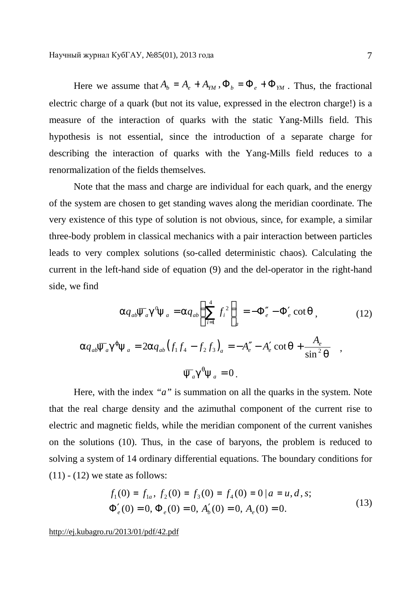Here we assume that  $A_b = A_e + A_{YM}$ ,  $\Phi_b = \Phi_e + \Phi_{YM}$ . Thus, the fractional electric charge of a quark (but not its value, expressed in the electron charge!) is a measure of the interaction of quarks with the static Yang-Mills field. This hypothesis is not essential, since the introduction of a separate charge for describing the interaction of quarks with the Yang-Mills field reduces to a renormalization of the fields themselves.

Note that the mass and charge are individual for each quark, and the energy of the system are chosen to get standing waves along the meridian coordinate. The very existence of this type of solution is not obvious, since, for example, a similar three-body problem in classical mechanics with a pair interaction between particles leads to very complex solutions (so-called deterministic chaos). Calculating the current in the left-hand side of equation (9) and the del-operator in the right-hand side, we find

$$
a q_{ab} \overline{y}_a g^0 y_a = a q_{ab} \left( \sum_{i=1}^4 f_i^2 \right)_a = -\Phi''_e - \Phi'_e \cot q \,, \tag{12}
$$
  

$$
a q_{ab} \overline{y}_a g^j y_a = 2a q_{ab} (f_1 f_4 - f_2 f_3)_a = -A''_e - A'_e \cot q + \frac{A_e}{\sin^2 q} \quad ,
$$
  

$$
\overline{y}_a g^q y_a = 0 \,.
$$

Here, with the index *"a"* is summation on all the quarks in the system. Note that the real charge density and the azimuthal component of the current rise to electric and magnetic fields, while the meridian component of the current vanishes on the solutions (10). Thus, in the case of baryons, the problem is reduced to solving a system of 14 ordinary differential equations. The boundary conditions for  $(11) - (12)$  we state as follows:

$$
f_1(0) = f_{1a}, f_2(0) = f_3(0) = f_4(0) = 0 | a = u, d, s;
$$
  
\n
$$
\Phi'_e(0) = 0, \Phi_e(0) = 0, A'_b(0) = 0, A_e(0) = 0.
$$
\n(13)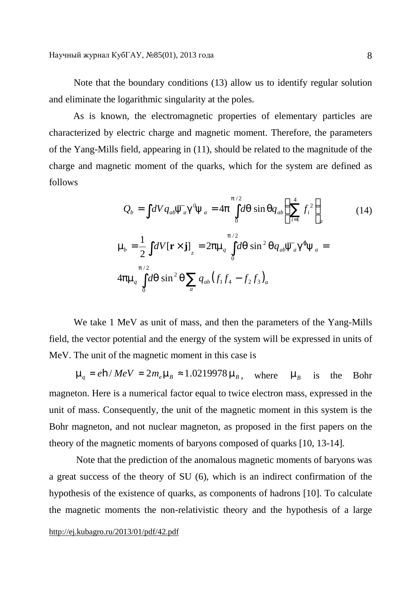Note that the boundary conditions (13) allow us to identify regular solution and eliminate the logarithmic singularity at the poles.

As is known, the electromagnetic properties of elementary particles are characterized by electric charge and magnetic moment. Therefore, the parameters of the Yang-Mills field, appearing in (11), should be related to the magnitude of the charge and magnetic moment of the quarks, which for the system are defined as follows

$$
Q_{b} = \int dV q_{ab} \overline{y}_{a} g^{0} y_{a} = 4p \int_{0}^{p/2} dq \sin q q_{ab} \left( \sum_{i=1}^{4} f_{i}^{2} \right)_{a}
$$
\n
$$
m_{b} = \frac{1}{2} \int dV [\mathbf{r} \times \mathbf{j}]_{z} = 2p m_{q} \int_{0}^{p/2} dq \sin^{2} q q_{ab} \overline{y}_{a} g^{j} y_{a} = 4p m_{q} \int_{0}^{p/2} dq \sin^{2} q \sum_{a} q_{ab} (f_{1} f_{4} - f_{2} f_{3})_{a}
$$
\n(14)

We take 1 MeV as unit of mass, and then the parameters of the Yang-Mills field, the vector potential and the energy of the system will be expressed in units of MeV. The unit of the magnetic moment in this case is

 $m_a = e \cdot h / MeV = 2m_e m_B \approx 1.0219978 m_B$ , where  $m_B$  is the Bohr magneton. Here is a numerical factor equal to twice electron mass, expressed in the unit of mass. Consequently, the unit of the magnetic moment in this system is the Bohr magneton, and not nuclear magneton, as proposed in the first papers on the theory of the magnetic moments of baryons composed of quarks [10, 13-14].

Note that the prediction of the anomalous magnetic moments of baryons was a great success of the theory of SU (6), which is an indirect confirmation of the hypothesis of the existence of quarks, as components of hadrons [10]. To calculate the magnetic moments the non-relativistic theory and the hypothesis of a large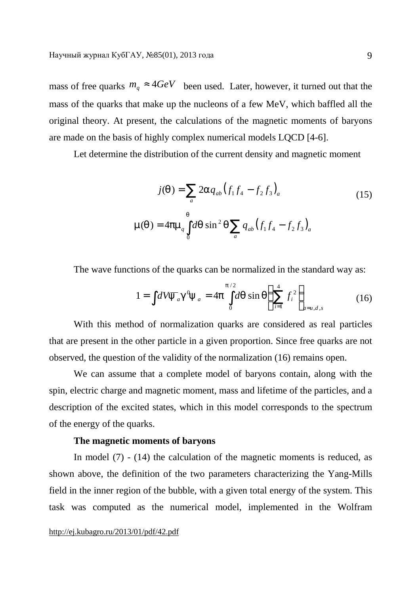mass of free quarks  $m_q \approx 4 GeV$  been used. Later, however, it turned out that the mass of the quarks that make up the nucleons of a few MeV, which baffled all the original theory. At present, the calculations of the magnetic moments of baryons are made on the basis of highly complex numerical models LQCD [4-6].

Let determine the distribution of the current density and magnetic moment

$$
j(q) = \sum_{a} 2aq_{ab} (f_1f_4 - f_2f_3)_a
$$
\n
$$
m(q) = 4pm_a \int_0^q dq \sin^2 q \sum_a q_{ab} (f_1f_4 - f_2f_3)_a
$$
\n(15)

The wave functions of the quarks can be normalized in the standard way as:

$$
1 = \int dV \overline{y}_a g^0 y_a = 4p \int_0^{p/2} dq \sin q \left( \sum_{i=1}^4 f_i^2 \right)_{a=u,d,s}
$$
 (16)

With this method of normalization quarks are considered as real particles that are present in the other particle in a given proportion. Since free quarks are not observed, the question of the validity of the normalization (16) remains open.

We can assume that a complete model of baryons contain, along with the spin, electric charge and magnetic moment, mass and lifetime of the particles, and a description of the excited states, which in this model corresponds to the spectrum of the energy of the quarks.

#### **The magnetic moments of baryons**

In model  $(7)$  -  $(14)$  the calculation of the magnetic moments is reduced, as shown above, the definition of the two parameters characterizing the Yang-Mills field in the inner region of the bubble, with a given total energy of the system. This task was computed as the numerical model, implemented in the Wolfram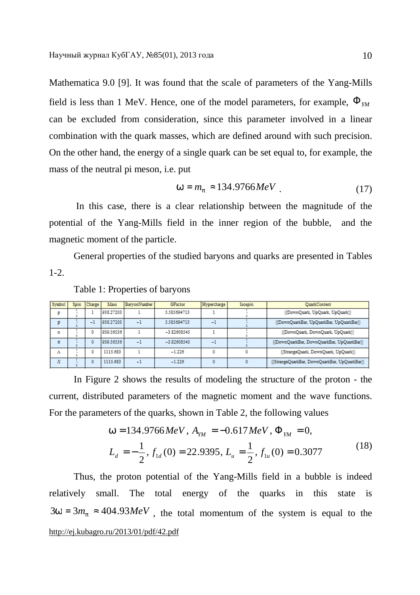Mathematica 9.0 [9]. It was found that the scale of parameters of the Yang-Mills field is less than 1 MeV. Hence, one of the model parameters, for example,  $\Phi_{YM}$ can be excluded from consideration, since this parameter involved in a linear combination with the quark masses, which are defined around with such precision. On the other hand, the energy of a single quark can be set equal to, for example, the mass of the neutral pi meson, i.e. put

$$
w = m_p \approx 134.9766 MeV
$$
 (17)

In this case, there is a clear relationship between the magnitude of the potential of the Yang-Mills field in the inner region of the bubble, and the magnetic moment of the particle.

General properties of the studied baryons and quarks are presented in Tables 1-2.

| Symbol | Spin | Charge | Mass      | BarvonNumber | <b>GFactor</b> | Hypercharge | Isospin | <b>OuarkContent</b>                           |  |
|--------|------|--------|-----------|--------------|----------------|-------------|---------|-----------------------------------------------|--|
| Ð      |      |        | 938.27203 |              | 5.585694713    |             |         | {{DownQuark, UpQuark, UpQuark}}               |  |
|        |      | - 1    | 938.27203 | -1           | 5.585694713    | - 1         |         | {{DownQuarkBar, UpQuarkBar, UpQuarkBar}}      |  |
| n      |      |        | 939.56536 |              | $-3.82608545$  |             |         | {{DownQuark, DownQuark, UpQuark}}             |  |
| n      |      |        | 939.56536 | $-1$         | $-3.82608545$  | ۰ı          |         | {{DownQuarkBar, DownQuarkBar, UpQuarkBar}}    |  |
| л      |      |        | 1115.683  |              | $-1.226$       |             |         | {{StrangeQuark, DownQuark, UpQuark}}          |  |
| π      |      |        | 1115.683  | $-1$         | $-1.226$       |             |         | {{StrangeQuarkBar, DownQuarkBar, UpQuarkBar}} |  |

#### Table 1: Properties of baryons

In Figure 2 shows the results of modeling the structure of the proton - the current, distributed parameters of the magnetic moment and the wave functions. For the parameters of the quarks, shown in Table 2, the following values

$$
w = 134.9766 MeV, AYM = -0.617 MeV, \PhiYM = 0,
$$
  

$$
L_d = -\frac{1}{2}, f1d(0) = 22.9395, L_u = \frac{1}{2}, f1u(0) = 0.3077
$$
 (18)

<http://ej.kubagro.ru/2013/01/pdf/42.pdf> Thus, the proton potential of the Yang-Mills field in a bubble is indeed relatively small. The total energy of the quarks in this state is  $3w = 3m_p \approx 404.93 MeV$ , the total momentum of the system is equal to the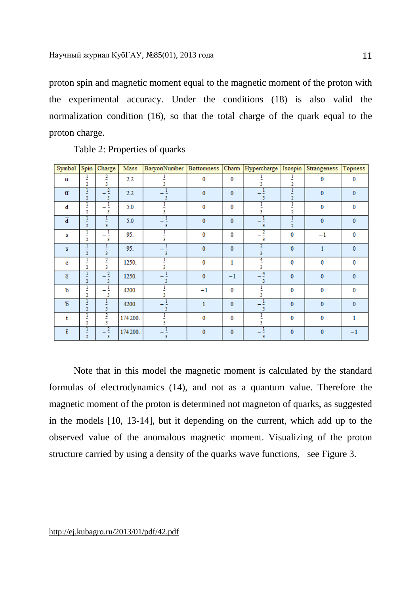proton spin and magnetic moment equal to the magnetic moment of the proton with the experimental accuracy. Under the conditions (18) is also valid the normalization condition (16), so that the total charge of the quark equal to the proton charge.

| Symbol Spin             |                                                 | Charge              | Mass     | BaryonNumber   Bottomness   Charm   Hypercharge   Isospin   Strangeness   Topness |              |              |                     |                     |              |              |
|-------------------------|-------------------------------------------------|---------------------|----------|-----------------------------------------------------------------------------------|--------------|--------------|---------------------|---------------------|--------------|--------------|
| u                       | ļ<br>$\overline{a}$                             | 2<br>3              | 2.2      |                                                                                   | 0            | $\bf{0}$     | ٩                   | $\overline{2}$      | $\bf{0}$     | 0            |
| $\overline{u}$          | -<br>$\overline{2}$                             | $\overline{2}$<br>3 | $2.2\,$  | 3                                                                                 | 0            | $\bf{0}$     | ÷<br>3              | $\overline{2}$      | $\mathbf{0}$ | 0            |
| đ                       | l<br>$\overline{2}$                             | -<br>3              | 5.0      |                                                                                   | 0            | 0            | 3                   | Ξ<br>$\overline{2}$ | 0            | 0            |
| $\overline{\mathbf{d}}$ | $\overline{1}$<br>$\overline{2}$                | 3                   | 5.0      | 3                                                                                 | $\mathbf{0}$ | $\mathbf{0}$ | 3                   | $\overline{2}$      | $\mathbf{0}$ | 0            |
| s                       | 1<br>-<br>2                                     | 3                   | 95.      |                                                                                   | 0            | $\bf{0}$     | $\overline{2}$<br>3 | 0                   | $-1$         | 0            |
| $\overline{\mathbf{s}}$ | ļ<br>$\overline{2}$                             | Ξ<br>3              | 95.      | 3                                                                                 | $\bf{0}$     | $\mathbf{0}$ | 3                   | $\mathbf{0}$        | 1            | $\mathbf{0}$ |
| c                       | 1<br>$\overline{\phantom{0}}$<br>$\overline{2}$ | $\overline{2}$<br>3 | 1250.    |                                                                                   | 0            | 1            | 3                   | $\bf{0}$            | 0            | 0            |
| $\overline{\mathbf{c}}$ | 1<br>$\overline{2}$                             | $\overline{2}$<br>3 | 1250.    | 3                                                                                 | 0            | $-1$         | $^{4}$<br>3         | $\mathbf{0}$        | 0            | $\bf{0}$     |
| ь                       | l<br>2                                          | 3                   | 4200.    |                                                                                   | $-1$         | $\bf{0}$     | 3                   | 0                   | 0            | 0            |
| $\overline{b}$          | Ŧ<br>$\overline{2}$                             | ÷<br>3              | 4200.    | 3                                                                                 | 1            | $\mathbf{0}$ | 3                   | $\mathbf{0}$        | 0            | $\bf{0}$     |
| t                       | ļ<br>$\overline{2}$                             | $\overline{2}$<br>3 | 174 200. |                                                                                   | 0            | $\bf{0}$     |                     | 0                   | 0            | 1            |
| $\bar{\text{t}}$        | $\overline{1}$<br>$\overline{2}$                | 3                   | 174 200. | 3.                                                                                | 0            | $\bf{0}$     |                     | $\bf{0}$            | 0            | $-1$         |

Table 2: Properties of quarks

Note that in this model the magnetic moment is calculated by the standard formulas of electrodynamics (14), and not as a quantum value. Therefore the magnetic moment of the proton is determined not magneton of quarks, as suggested in the models [10, 13-14], but it depending on the current, which add up to the observed value of the anomalous magnetic moment. Visualizing of the proton structure carried by using a density of the quarks wave functions, see Figure 3.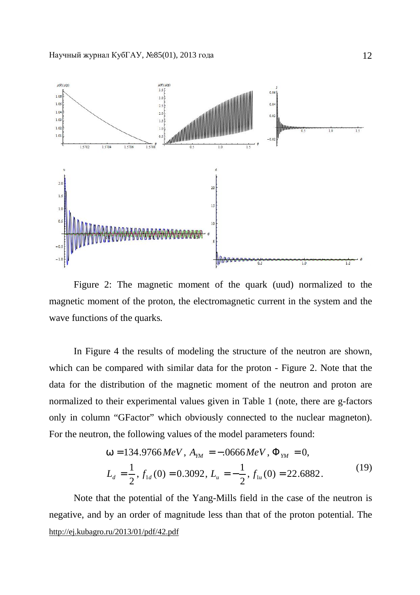

Figure 2: The magnetic moment of the quark (uud) normalized to the magnetic moment of the proton, the electromagnetic current in the system and the wave functions of the quarks.

In Figure 4 the results of modeling the structure of the neutron are shown, which can be compared with similar data for the proton - Figure 2. Note that the data for the distribution of the magnetic moment of the neutron and proton are normalized to their experimental values given in Table 1 (note, there are g-factors only in column "GFactor" which obviously connected to the nuclear magneton). For the neutron, the following values of the model parameters found:

$$
w = 134.9766 MeV, AYM = -.0666 MeV, \PhiYM = 0,
$$
  

$$
Ld = \frac{1}{2}, f1d(0) = 0.3092, Lu = -\frac{1}{2}, f1u(0) = 22.6882.
$$
 (19)

<http://ej.kubagro.ru/2013/01/pdf/42.pdf> Note that the potential of the Yang-Mills field in the case of the neutron is negative, and by an order of magnitude less than that of the proton potential. The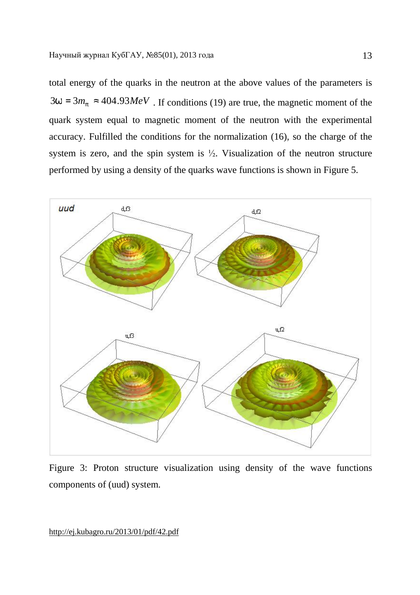total energy of the quarks in the neutron at the above values of the parameters is  $3w = 3m_p \approx 404.93 MeV$ . If conditions (19) are true, the magnetic moment of the quark system equal to magnetic moment of the neutron with the experimental accuracy. Fulfilled the conditions for the normalization (16), so the charge of the system is zero, and the spin system is  $\frac{1}{2}$ . Visualization of the neutron structure performed by using a density of the quarks wave functions is shown in Figure 5.



Figure 3: Proton structure visualization using density of the wave functions components of (uud) system.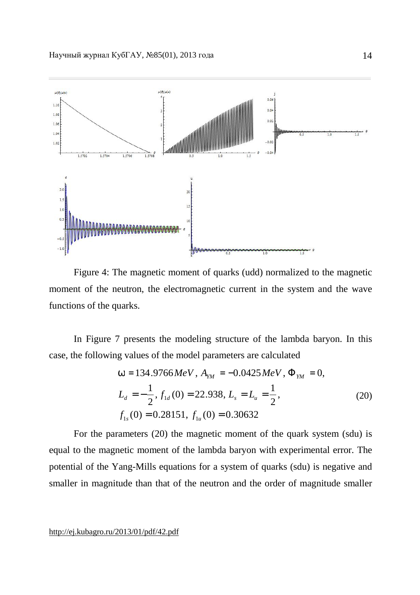

Figure 4: The magnetic moment of quarks (udd) normalized to the magnetic moment of the neutron, the electromagnetic current in the system and the wave functions of the quarks.

In Figure 7 presents the modeling structure of the lambda baryon. In this case, the following values of the model parameters are calculated

$$
w = 134.9766 MeV, AYM = -0.0425 MeV, \PhiYM = 0,
$$
  
\n
$$
Ld = -\frac{1}{2}, f1d(0) = 22.938, Ls = Lu = \frac{1}{2},
$$
  
\n
$$
f1s(0) = 0.28151, f1u(0) = 0.30632
$$
\n(20)

For the parameters (20) the magnetic moment of the quark system (sdu) is equal to the magnetic moment of the lambda baryon with experimental error. The potential of the Yang-Mills equations for a system of quarks (sdu) is negative and smaller in magnitude than that of the neutron and the order of magnitude smaller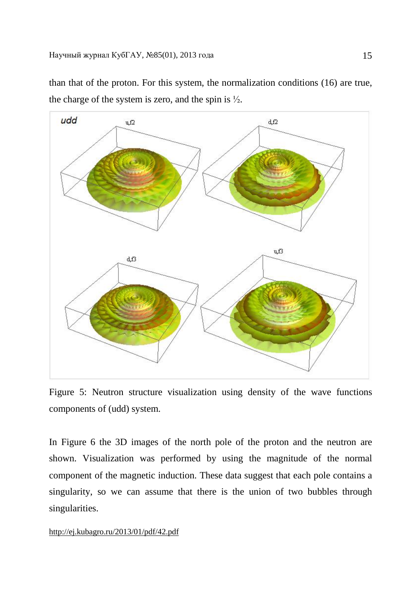

than that of the proton. For this system, the normalization conditions (16) are true, the charge of the system is zero, and the spin is  $\frac{1}{2}$ .

Figure 5: Neutron structure visualization using density of the wave functions components of (udd) system.

In Figure 6 the 3D images of the north pole of the proton and the neutron are shown. Visualization was performed by using the magnitude of the normal component of the magnetic induction. These data suggest that each pole contains a singularity, so we can assume that there is the union of two bubbles through singularities.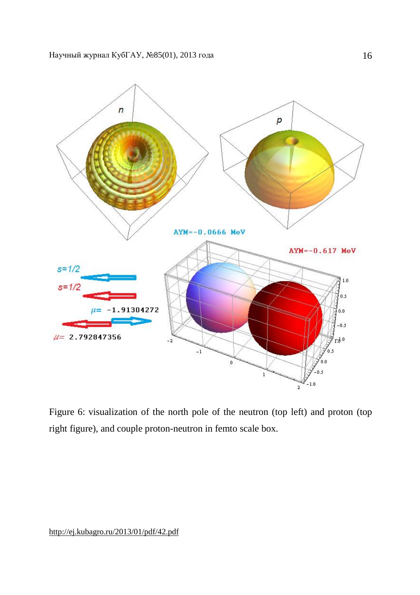

Figure 6: visualization of the north pole of the neutron (top left) and proton (top right figure), and couple proton-neutron in femto scale box.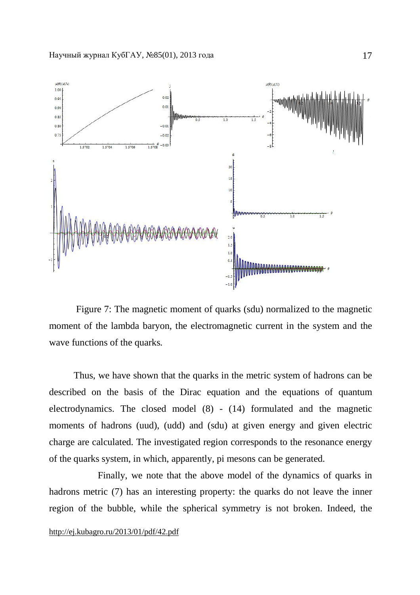

Figure 7: The magnetic moment of quarks (sdu) normalized to the magnetic moment of the lambda baryon, the electromagnetic current in the system and the wave functions of the quarks.

Thus, we have shown that the quarks in the metric system of hadrons can be described on the basis of the Dirac equation and the equations of quantum electrodynamics. The closed model (8) - (14) formulated and the magnetic moments of hadrons (uud), (udd) and (sdu) at given energy and given electric charge are calculated. The investigated region corresponds to the resonance energy of the quarks system, in which, apparently, pi mesons can be generated.

 Finally, we note that the above model of the dynamics of quarks in hadrons metric (7) has an interesting property: the quarks do not leave the inner region of the bubble, while the spherical symmetry is not broken. Indeed, the